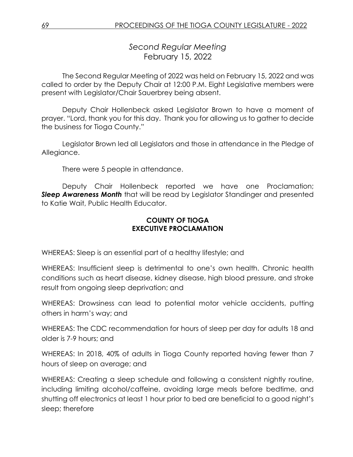*Second Regular Meeting* February 15, 2022

The Second Regular Meeting of 2022 was held on February 15, 2022 and was called to order by the Deputy Chair at 12:00 P.M. Eight Legislative members were present with Legislator/Chair Sauerbrey being absent.

Deputy Chair Hollenbeck asked Legislator Brown to have a moment of prayer. "Lord, thank you for this day. Thank you for allowing us to gather to decide the business for Tioga County."

Legislator Brown led all Legislators and those in attendance in the Pledge of Allegiance.

There were 5 people in attendance.

Deputy Chair Hollenbeck reported we have one Proclamation; *Sleep Awareness Month* that will be read by Legislator Standinger and presented to Katie Wait, Public Health Educator.

## **COUNTY OF TIOGA EXECUTIVE PROCLAMATION**

WHEREAS: Sleep is an essential part of a healthy lifestyle; and

WHEREAS: Insufficient sleep is detrimental to one's own health. Chronic health conditions such as heart disease, kidney disease, high blood pressure, and stroke result from ongoing sleep deprivation; and

WHEREAS: Drowsiness can lead to potential motor vehicle accidents, putting others in harm's way; and

WHEREAS: The CDC recommendation for hours of sleep per day for adults 18 and older is 7-9 hours; and

WHEREAS: In 2018, 40% of adults in Tioga County reported having fewer than 7 hours of sleep on average; and

WHEREAS: Creating a sleep schedule and following a consistent nightly routine, including limiting alcohol/caffeine, avoiding large meals before bedtime, and shutting off electronics at least 1 hour prior to bed are beneficial to a good night's sleep; therefore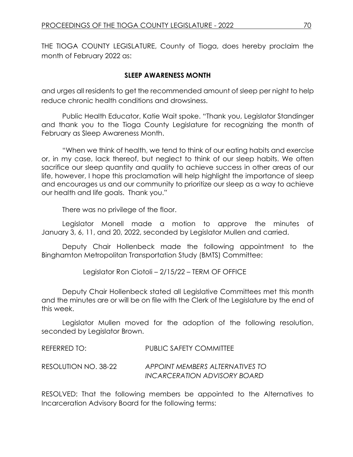THE TIOGA COUNTY LEGISLATURE, County of Tioga, does hereby proclaim the month of February 2022 as:

## **SLEEP AWARENESS MONTH**

and urges all residents to get the recommended amount of sleep per night to help reduce chronic health conditions and drowsiness.

Public Health Educator, Katie Wait spoke. "Thank you, Legislator Standinger and thank you to the Tioga County Legislature for recognizing the month of February as Sleep Awareness Month.

"When we think of health, we tend to think of our eating habits and exercise or, in my case, lack thereof, but neglect to think of our sleep habits. We often sacrifice our sleep quantity and quality to achieve success in other areas of our life, however, I hope this proclamation will help highlight the importance of sleep and encourages us and our community to prioritize our sleep as a way to achieve our health and life goals. Thank you."

There was no privilege of the floor.

Legislator Monell made a motion to approve the minutes of January 3, 6, 11, and 20, 2022, seconded by Legislator Mullen and carried.

Deputy Chair Hollenbeck made the following appointment to the Binghamton Metropolitan Transportation Study (BMTS) Committee:

Legislator Ron Ciotoli – 2/15/22 – TERM OF OFFICE

Deputy Chair Hollenbeck stated all Legislative Committees met this month and the minutes are or will be on file with the Clerk of the Legislature by the end of this week.

Legislator Mullen moved for the adoption of the following resolution, seconded by Legislator Brown.

| REFERRED TO:         | <b>PUBLIC SAFETY COMMITTEE</b>  |
|----------------------|---------------------------------|
| RESOLUTION NO. 38-22 | APPOINT MEMBERS ALTERNATIVES TO |
|                      | INCARCERATION ADVISORY BOARD    |

RESOLVED: That the following members be appointed to the Alternatives to Incarceration Advisory Board for the following terms: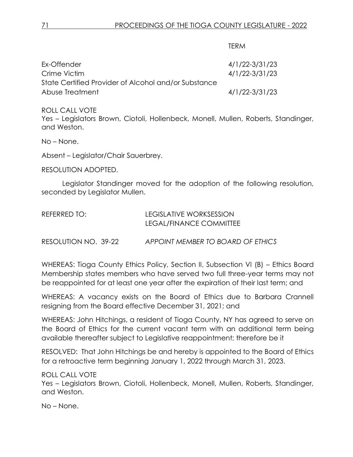TERM

| Ex-Offender                                          | 4/1/22-3/31/23 |
|------------------------------------------------------|----------------|
| Crime Victim                                         | 4/1/22-3/31/23 |
| State Certified Provider of Alcohol and/or Substance |                |
| Abuse Treatment                                      | 4/1/22-3/31/23 |

### ROLL CALL VOTE

Yes – Legislators Brown, Ciotoli, Hollenbeck, Monell, Mullen, Roberts, Standinger, and Weston.

No – None.

Absent – Legislator/Chair Sauerbrey.

RESOLUTION ADOPTED.

Legislator Standinger moved for the adoption of the following resolution, seconded by Legislator Mullen.

| LEGISLATIVE WORKSESSION |
|-------------------------|
| LEGAL/FINANCE COMMITTEE |
|                         |

RESOLUTION NO. 39-22 *APPOINT MEMBER TO BOARD OF ETHICS*

WHEREAS: Tioga County Ethics Policy, Section II, Subsection VI (B) – Ethics Board Membership states members who have served two full three-year terms may not be reappointed for at least one year after the expiration of their last term; and

WHEREAS: A vacancy exists on the Board of Ethics due to Barbara Crannell resigning from the Board effective December 31, 2021; and

WHEREAS: John Hitchings, a resident of Tioga County, NY has agreed to serve on the Board of Ethics for the current vacant term with an additional term being available thereafter subject to Legislative reappointment; therefore be it

RESOLVED: That John Hitchings be and hereby is appointed to the Board of Ethics for a retroactive term beginning January 1, 2022 through March 31, 2023.

ROLL CALL VOTE

Yes – Legislators Brown, Ciotoli, Hollenbeck, Monell, Mullen, Roberts, Standinger, and Weston.

No – None.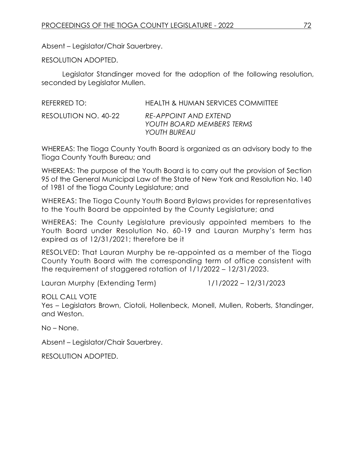Absent – Legislator/Chair Sauerbrey.

RESOLUTION ADOPTED.

Legislator Standinger moved for the adoption of the following resolution, seconded by Legislator Mullen.

| REFERRED TO:         | HEALTH & HUMAN SERVICES COMMITTEE                                  |
|----------------------|--------------------------------------------------------------------|
| RESOLUTION NO. 40-22 | RE-APPOINT AND EXTEND<br>YOUTH BOARD MEMBERS TERMS<br>YOUTH BUREAU |

WHEREAS: The Tioga County Youth Board is organized as an advisory body to the Tioga County Youth Bureau; and

WHEREAS: The purpose of the Youth Board is to carry out the provision of Section 95 of the General Municipal Law of the State of New York and Resolution No. 140 of 1981 of the Tioga County Legislature; and

WHEREAS: The Tioga County Youth Board Bylaws provides for representatives to the Youth Board be appointed by the County Legislature; and

WHEREAS: The County Legislature previously appointed members to the Youth Board under Resolution No. 60-19 and Lauran Murphy's term has expired as of 12/31/2021; therefore be it

RESOLVED: That Lauran Murphy be re-appointed as a member of the Tioga County Youth Board with the corresponding term of office consistent with the requirement of staggered rotation of 1/1/2022 – 12/31/2023.

Lauran Murphy (Extending Term) 1/1/2022 – 12/31/2023

ROLL CALL VOTE

Yes – Legislators Brown, Ciotoli, Hollenbeck, Monell, Mullen, Roberts, Standinger, and Weston.

No – None.

Absent – Legislator/Chair Sauerbrey.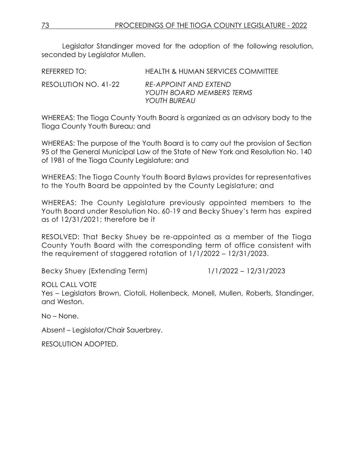Legislator Standinger moved for the adoption of the following resolution, seconded by Legislator Mullen.

| REFERRED TO:         | HEALTH & HUMAN SERVICES COMMITTEE                                  |
|----------------------|--------------------------------------------------------------------|
| RESOLUTION NO. 41-22 | RE-APPOINT AND EXTEND<br>YOUTH BOARD MEMBERS TERMS<br>YOUTH BUREAU |

WHEREAS: The Tioga County Youth Board is organized as an advisory body to the Tioga County Youth Bureau; and

WHEREAS: The purpose of the Youth Board is to carry out the provision of Section 95 of the General Municipal Law of the State of New York and Resolution No. 140 of 1981 of the Tioga County Legislature; and

WHEREAS: The Tioga County Youth Board Bylaws provides for representatives to the Youth Board be appointed by the County Legislature; and

WHEREAS: The County Legislature previously appointed members to the Youth Board under Resolution No. 60-19 and Becky Shuey's term has expired as of 12/31/2021; therefore be it

RESOLVED: That Becky Shuey be re-appointed as a member of the Tioga County Youth Board with the corresponding term of office consistent with the requirement of staggered rotation of 1/1/2022 – 12/31/2023.

Becky Shuey (Extending Term) 1/1/2022 – 12/31/2023

ROLL CALL VOTE

Yes – Legislators Brown, Ciotoli, Hollenbeck, Monell, Mullen, Roberts, Standinger, and Weston.

No – None.

Absent – Legislator/Chair Sauerbrey.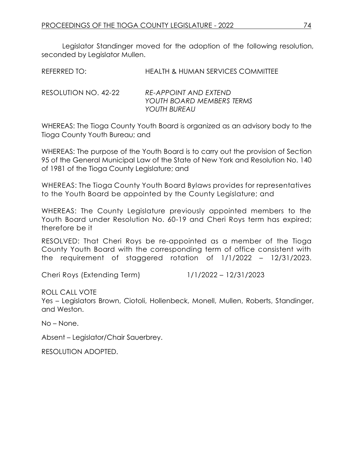Legislator Standinger moved for the adoption of the following resolution, seconded by Legislator Mullen.

| REFERRED TO: | <b>HEALTH &amp; HUMAN SERVICES COMMITTEE</b> |  |
|--------------|----------------------------------------------|--|
|              |                                              |  |

RESOLUTION NO. 42-22 *RE-APPOINT AND EXTEND YOUTH BOARD MEMBERS TERMS YOUTH BUREAU*

WHEREAS: The Tioga County Youth Board is organized as an advisory body to the Tioga County Youth Bureau; and

WHEREAS: The purpose of the Youth Board is to carry out the provision of Section 95 of the General Municipal Law of the State of New York and Resolution No. 140 of 1981 of the Tioga County Legislature; and

WHEREAS: The Tioga County Youth Board Bylaws provides for representatives to the Youth Board be appointed by the County Legislature; and

WHEREAS: The County Legislature previously appointed members to the Youth Board under Resolution No. 60-19 and Cheri Roys term has expired; therefore be it

RESOLVED: That Cheri Roys be re-appointed as a member of the Tioga County Youth Board with the corresponding term of office consistent with the requirement of staggered rotation of 1/1/2022 – 12/31/2023.

Cheri Roys (Extending Term) 1/1/2022 – 12/31/2023

ROLL CALL VOTE

Yes – Legislators Brown, Ciotoli, Hollenbeck, Monell, Mullen, Roberts, Standinger, and Weston.

No – None.

Absent – Legislator/Chair Sauerbrey.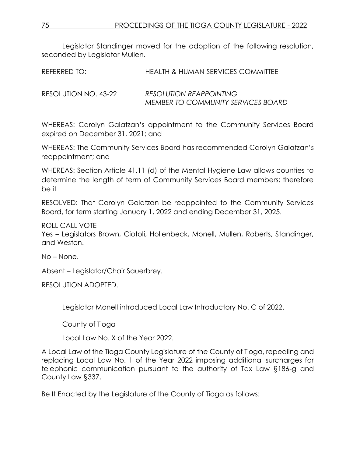Legislator Standinger moved for the adoption of the following resolution, seconded by Legislator Mullen.

| REFERRED TO:         | HEALTH & HUMAN SERVICES COMMITTEE                                           |
|----------------------|-----------------------------------------------------------------------------|
| RESOLUTION NO. 43-22 | <b>RESOLUTION REAPPOINTING</b><br><b>MEMBER TO COMMUNITY SERVICES BOARD</b> |

WHEREAS: Carolyn Galatzan's appointment to the Community Services Board expired on December 31, 2021; and

WHEREAS: The Community Services Board has recommended Carolyn Galatzan's reappointment; and

WHEREAS: Section Article 41.11 (d) of the Mental Hygiene Law allows counties to determine the length of term of Community Services Board members; therefore be it

RESOLVED: That Carolyn Galatzan be reappointed to the Community Services Board, for term starting January 1, 2022 and ending December 31, 2025.

ROLL CALL VOTE

Yes – Legislators Brown, Ciotoli, Hollenbeck, Monell, Mullen, Roberts, Standinger, and Weston.

No – None.

Absent – Legislator/Chair Sauerbrey.

RESOLUTION ADOPTED.

Legislator Monell introduced Local Law Introductory No. C of 2022.

County of Tioga

Local Law No. X of the Year 2022.

A Local Law of the Tioga County Legislature of the County of Tioga, repealing and replacing Local Law No. 1 of the Year 2022 imposing additional surcharges for telephonic communication pursuant to the authority of Tax Law §186-g and County Law §337.

Be It Enacted by the Legislature of the County of Tioga as follows: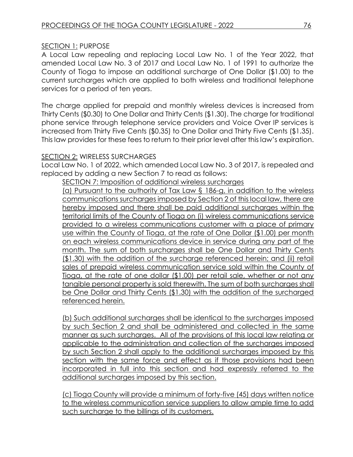## SECTION 1: PURPOSE

A Local Law repealing and replacing Local Law No. 1 of the Year 2022, that amended Local Law No. 3 of 2017 and Local Law No. 1 of 1991 to authorize the County of Tioga to impose an additional surcharge of One Dollar (\$1.00) to the current surcharges which are applied to both wireless and traditional telephone services for a period of ten years.

The charge applied for prepaid and monthly wireless devices is increased from Thirty Cents (\$0.30) to One Dollar and Thirty Cents (\$1.30). The charge for traditional phone service through telephone service providers and Voice Over IP services is increased from Thirty Five Cents (\$0.35) to One Dollar and Thirty Five Cents (\$1.35). This law provides for these fees to return to their prior level after this law's expiration.

### SECTION 2: WIRELESS SURCHARGES

Local Law No. 1 of 2022, which amended Local Law No. 3 of 2017, is repealed and replaced by adding a new Section 7 to read as follows:

SECTION 7: Imposition of additional wireless surcharges

(a) Pursuant to the authority of Tax Law § 186-g, in addition to the wireless communications surcharges imposed by Section 2 of this local law, there are hereby imposed and there shall be paid additional surcharges within the territorial limits of the County of Tioga on (i) wireless communications service provided to a wireless communications customer with a place of primary use within the County of Tioga, at the rate of One Dollar (\$1.00) per month on each wireless communications device in service during any part of the month. The sum of both surcharges shall be One Dollar and Thirty Cents (\$1.30) with the addition of the surcharge referenced herein; and (ii) retail sales of prepaid wireless communication service sold within the County of Tioga, at the rate of one dollar (\$1.00) per retail sale, whether or not any tangible personal property is sold therewith. The sum of both surcharges shall be One Dollar and Thirty Cents (\$1.30) with the addition of the surcharged referenced herein.

(b) Such additional surcharges shall be identical to the surcharges imposed by such Section 2 and shall be administered and collected in the same manner as such surcharges. All of the provisions of this local law relating or applicable to the administration and collection of the surcharges imposed by such Section 2 shall apply to the additional surcharges imposed by this section with the same force and effect as if those provisions had been incorporated in full into this section and had expressly referred to the additional surcharges imposed by this section.

(c) Tioga County will provide a minimum of forty-five (45) days written notice to the wireless communication service suppliers to allow ample time to add such surcharge to the billings of its customers.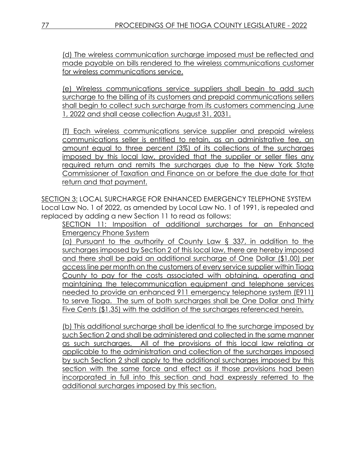(d) The wireless communication surcharge imposed must be reflected and made payable on bills rendered to the wireless communications customer for wireless communications service.

(e) Wireless communications service suppliers shall begin to add such surcharge to the billing of its customers and prepaid communications sellers shall begin to collect such surcharge from its customers commencing June 1, 2022 and shall cease collection August 31, 2031.

(f) Each wireless communications service supplier and prepaid wireless communications seller is entitled to retain, as an administrative fee, an amount equal to three percent (3%) of its collections of the surcharges imposed by this local law, provided that the supplier or seller files any required return and remits the surcharges due to the New York State Commissioner of Taxation and Finance on or before the due date for that return and that payment.

SECTION 3: LOCAL SURCHARGE FOR ENHANCED EMERGENCY TELEPHONE SYSTEM Local Law No. 1 of 2022, as amended by Local Law No. 1 of 1991, is repealed and replaced by adding a new Section 11 to read as follows:

SECTION 11: Imposition of additional surcharges for an Enhanced Emergency Phone System

(a) Pursuant to the authority of County Law § 337, in addition to the surcharges imposed by Section 2 of this local law, there are hereby imposed and there shall be paid an additional surcharge of One Dollar (\$1.00) per access line per month on the customers of every service supplier within Tioga County to pay for the costs associated with obtaining, operating and maintaining the telecommunication equipment and telephone services needed to provide an enhanced 911 emergency telephone system (E911) to serve Tioga. The sum of both surcharges shall be One Dollar and Thirty Five Cents (\$1.35) with the addition of the surcharges referenced herein.

(b) This additional surcharge shall be identical to the surcharge imposed by such Section 2 and shall be administered and collected in the same manner as such surcharges. All of the provisions of this local law relating or applicable to the administration and collection of the surcharges imposed by such Section 2 shall apply to the additional surcharges imposed by this section with the same force and effect as if those provisions had been incorporated in full into this section and had expressly referred to the additional surcharges imposed by this section.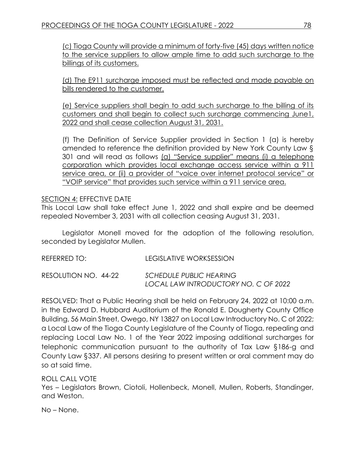(c) Tioga County will provide a minimum of forty-five (45) days written notice to the service suppliers to allow ample time to add such surcharge to the billings of its customers.

(d) The E911 surcharge imposed must be reflected and made payable on bills rendered to the customer.

(e) Service suppliers shall begin to add such surcharge to the billing of its customers and shall begin to collect such surcharge commencing June1, 2022 and shall cease collection August 31, 2031.

(f) The Definition of Service Supplier provided in Section 1 (a) is hereby amended to reference the definition provided by New York County Law § 301 and will read as follows (a) "Service supplier" means (i) a telephone corporation which provides local exchange access service within a 911 service area, or (ii) a provider of "voice over internet protocol service" or "VOIP service" that provides such service within a 911 service area.

### SECTION 4: EFFECTIVE DATE

This Local Law shall take effect June 1, 2022 and shall expire and be deemed repealed November 3, 2031 with all collection ceasing August 31, 2031.

Legislator Monell moved for the adoption of the following resolution, seconded by Legislator Mullen.

REFERRED TO: LEGISLATIVE WORKSESSION RESOLUTION NO. 44-22 *SCHEDULE PUBLIC HEARING LOCAL LAW INTRODUCTORY NO. C OF 2022*

RESOLVED: That a Public Hearing shall be held on February 24, 2022 at 10:00 a.m. in the Edward D. Hubbard Auditorium of the Ronald E. Dougherty County Office Building, 56 Main Street, Owego, NY 13827 on Local Law Introductory No. C of 2022; a Local Law of the Tioga County Legislature of the County of Tioga, repealing and replacing Local Law No. 1 of the Year 2022 imposing additional surcharges for telephonic communication pursuant to the authority of Tax Law §186-g and County Law §337. All persons desiring to present written or oral comment may do so at said time.

ROLL CALL VOTE Yes – Legislators Brown, Ciotoli, Hollenbeck, Monell, Mullen, Roberts, Standinger, and Weston.

No – None.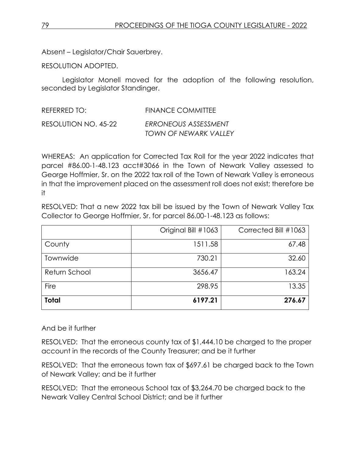Absent – Legislator/Chair Sauerbrey.

RESOLUTION ADOPTED.

Legislator Monell moved for the adoption of the following resolution, seconded by Legislator Standinger.

| REFERRED TO:         | <b>FINANCE COMMITTEE</b> |
|----------------------|--------------------------|
| RESOLUTION NO. 45-22 | ERRONEOUS ASSESSMENT     |
|                      | TOWN OF NEWARK VALLEY    |

WHEREAS: An application for Corrected Tax Roll for the year 2022 indicates that parcel #86.00-1-48.123 acct#3066 in the Town of Newark Valley assessed to George Hoffmier, Sr. on the 2022 tax roll of the Town of Newark Valley is erroneous in that the improvement placed on the assessment roll does not exist; therefore be it

RESOLVED: That a new 2022 tax bill be issued by the Town of Newark Valley Tax Collector to George Hoffmier, Sr. for parcel 86.00-1-48.123 as follows:

| <b>Total</b>  | 6197.21             | 276.67               |
|---------------|---------------------|----------------------|
| Fire          | 298.95              | 13.35                |
| Return School | 3656.47             | 163.24               |
| Townwide      | 730.21              | 32.60                |
| County        | 1511.58             | 67.48                |
|               | Original Bill #1063 | Corrected Bill #1063 |

## And be it further

RESOLVED: That the erroneous county tax of \$1,444.10 be charged to the proper account in the records of the County Treasurer; and be it further

RESOLVED: That the erroneous town tax of \$697.61 be charged back to the Town of Newark Valley; and be it further

RESOLVED: That the erroneous School tax of \$3,264.70 be charged back to the Newark Valley Central School District; and be it further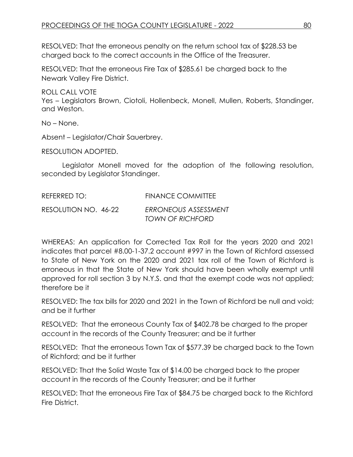RESOLVED: That the erroneous penalty on the return school tax of \$228.53 be charged back to the correct accounts in the Office of the Treasurer.

RESOLVED: That the erroneous Fire Tax of \$285.61 be charged back to the Newark Valley Fire District.

ROLL CALL VOTE Yes – Legislators Brown, Ciotoli, Hollenbeck, Monell, Mullen, Roberts, Standinger, and Weston.

No – None.

Absent – Legislator/Chair Sauerbrey.

RESOLUTION ADOPTED.

Legislator Monell moved for the adoption of the following resolution, seconded by Legislator Standinger.

| REFERRED TO:         | <b>FINANCE COMMITTEE</b> |
|----------------------|--------------------------|
| RESOLUTION NO. 46-22 | ERRONEOUS ASSESSMENT     |
|                      | TOWN OF RICHFORD         |

WHEREAS: An application for Corrected Tax Roll for the years 2020 and 2021 indicates that parcel #8.00-1-37.2 account #997 in the Town of Richford assessed to State of New York on the 2020 and 2021 tax roll of the Town of Richford is erroneous in that the State of New York should have been wholly exempt until approved for roll section 3 by N.Y.S. and that the exempt code was not applied; therefore be it

RESOLVED: The tax bills for 2020 and 2021 in the Town of Richford be null and void; and be it further

RESOLVED: That the erroneous County Tax of \$402.78 be charged to the proper account in the records of the County Treasurer; and be it further

RESOLVED: That the erroneous Town Tax of \$577.39 be charged back to the Town of Richford; and be it further

RESOLVED: That the Solid Waste Tax of \$14.00 be charged back to the proper account in the records of the County Treasurer; and be it further

RESOLVED: That the erroneous Fire Tax of \$84.75 be charged back to the Richford Fire District.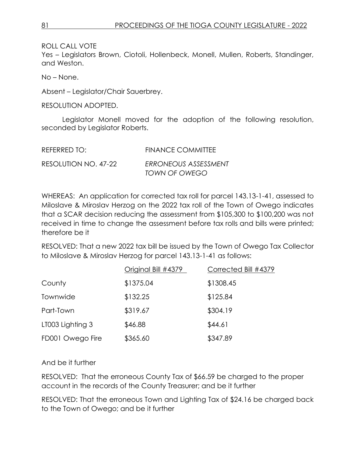ROLL CALL VOTE

Yes – Legislators Brown, Ciotoli, Hollenbeck, Monell, Mullen, Roberts, Standinger, and Weston.

No – None.

Absent – Legislator/Chair Sauerbrey.

RESOLUTION ADOPTED.

Legislator Monell moved for the adoption of the following resolution, seconded by Legislator Roberts.

| REFERRED TO:         | <b>FINANCE COMMITTEE</b> |
|----------------------|--------------------------|
| RESOLUTION NO. 47-22 | ERRONEOUS ASSESSMENT     |
|                      | TOWN OF OWEGO            |

WHEREAS: An application for corrected tax roll for parcel 143.13-1-41, assessed to Miloslave & Miroslav Herzog on the 2022 tax roll of the Town of Owego indicates that a SCAR decision reducing the assessment from \$105,300 to \$100,200 was not received in time to change the assessment before tax rolls and bills were printed; therefore be it

RESOLVED: That a new 2022 tax bill be issued by the Town of Owego Tax Collector to Miloslave & Miroslav Herzog for parcel 143.13-1-41 as follows:

|                  | Original Bill #4379 | Corrected Bill #4379 |
|------------------|---------------------|----------------------|
| County           | \$1375.04           | \$1308.45            |
| Townwide         | \$132.25            | \$125.84             |
| Part-Town        | \$319.67            | \$304.19             |
| LT003 Lighting 3 | \$46.88             | \$44.61              |
| FD001 Owego Fire | \$365.60            | \$347.89             |

And be it further

RESOLVED: That the erroneous County Tax of \$66.59 be charged to the proper account in the records of the County Treasurer; and be it further

RESOLVED: That the erroneous Town and Lighting Tax of \$24.16 be charged back to the Town of Owego; and be it further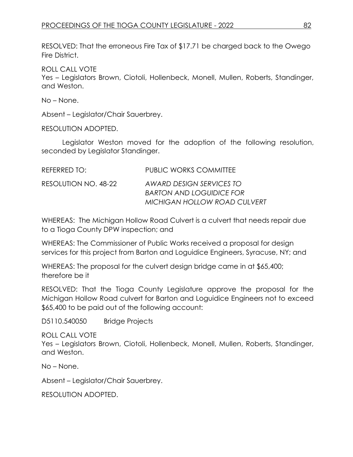RESOLVED: That the erroneous Fire Tax of \$17.71 be charged back to the Owego Fire District.

ROLL CALL VOTE

Yes – Legislators Brown, Ciotoli, Hollenbeck, Monell, Mullen, Roberts, Standinger, and Weston.

No – None.

Absent – Legislator/Chair Sauerbrey.

RESOLUTION ADOPTED.

Legislator Weston moved for the adoption of the following resolution, seconded by Legislator Standinger.

| REFERRED TO:         | <b>PUBLIC WORKS COMMITTEE</b>                               |
|----------------------|-------------------------------------------------------------|
| RESOLUTION NO. 48-22 | AWARD DESIGN SERVICES TO<br><b>BARTON AND LOGUIDICE FOR</b> |
|                      | <b>MICHIGAN HOLLOW ROAD CULVERT</b>                         |

WHEREAS: The Michigan Hollow Road Culvert is a culvert that needs repair due to a Tioga County DPW inspection; and

WHEREAS: The Commissioner of Public Works received a proposal for design services for this project from Barton and Loguidice Engineers, Syracuse, NY; and

WHEREAS: The proposal for the culvert design bridge came in at \$65,400; therefore be it

RESOLVED: That the Tioga County Legislature approve the proposal for the Michigan Hollow Road culvert for Barton and Loguidice Engineers not to exceed \$65,400 to be paid out of the following account:

D5110.540050 Bridge Projects

ROLL CALL VOTE Yes – Legislators Brown, Ciotoli, Hollenbeck, Monell, Mullen, Roberts, Standinger, and Weston.

No – None.

Absent – Legislator/Chair Sauerbrey.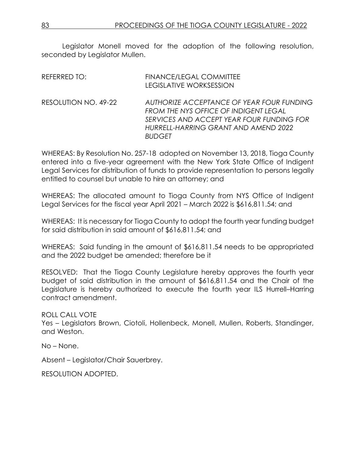Legislator Monell moved for the adoption of the following resolution, seconded by Legislator Mullen.

| REFERRED TO:         | <b>FINANCE/LEGAL COMMITTEE</b><br>LEGISLATIVE WORKSESSION                                                                                                                                |
|----------------------|------------------------------------------------------------------------------------------------------------------------------------------------------------------------------------------|
| RESOLUTION NO. 49-22 | AUTHORIZE ACCEPTANCE OF YEAR FOUR FUNDING<br>FROM THE NYS OFFICE OF INDIGENT LEGAL<br>SERVICES AND ACCEPT YEAR FOUR FUNDING FOR<br>HURRELL-HARRING GRANT AND AMEND 2022<br><b>BUDGET</b> |

WHEREAS: By Resolution No. 257-18 adopted on November 13, 2018, Tioga County entered into a five-year agreement with the New York State Office of Indigent Legal Services for distribution of funds to provide representation to persons legally entitled to counsel but unable to hire an attorney; and

WHEREAS: The allocated amount to Tioga County from NYS Office of Indigent Legal Services for the fiscal year April 2021 – March 2022 is \$616,811.54; and

WHEREAS: It is necessary for Tioga County to adopt the fourth year funding budget for said distribution in said amount of \$616,811.54; and

WHEREAS: Said funding in the amount of \$616,811.54 needs to be appropriated and the 2022 budget be amended; therefore be it

RESOLVED: That the Tioga County Legislature hereby approves the fourth year budget of said distribution in the amount of \$616,811.54 and the Chair of the Legislature is hereby authorized to execute the fourth year ILS Hurrell–Harring contract amendment.

ROLL CALL VOTE Yes – Legislators Brown, Ciotoli, Hollenbeck, Monell, Mullen, Roberts, Standinger, and Weston.

No – None.

Absent – Legislator/Chair Sauerbrey.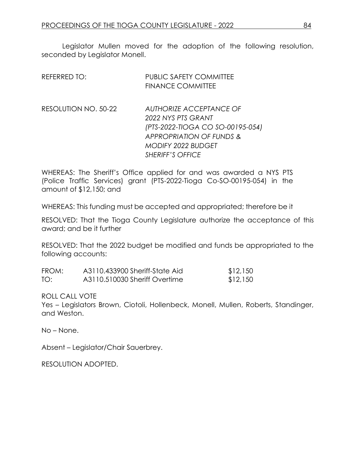Legislator Mullen moved for the adoption of the following resolution, seconded by Legislator Monell.

| REFERRED TO:         | <b>PUBLIC SAFETY COMMITTEE</b><br><b>FINANCE COMMITTEE</b>                                                                                                                       |
|----------------------|----------------------------------------------------------------------------------------------------------------------------------------------------------------------------------|
| RESOLUTION NO. 50-22 | AUTHORIZE ACCEPTANCE OF<br>2022 NYS PTS GRANT<br>(PTS-2022-TIOGA CO SO-00195-054)<br><b>APPROPRIATION OF FUNDS &amp;</b><br><b>MODIFY 2022 BUDGET</b><br><b>SHERIFF'S OFFICE</b> |

WHEREAS: The Sheriff's Office applied for and was awarded a NYS PTS (Police Traffic Services) grant (PTS-2022-Tioga Co-SO-00195-054) in the amount of \$12,150; and

WHEREAS: This funding must be accepted and appropriated; therefore be it

RESOLVED: That the Tioga County Legislature authorize the acceptance of this award; and be it further

RESOLVED: That the 2022 budget be modified and funds be appropriated to the following accounts:

| FROM: | A3110.433900 Sheriff-State Aid | \$12,150 |
|-------|--------------------------------|----------|
| TO:   | A3110.510030 Sheriff Overtime  | \$12,150 |

ROLL CALL VOTE

Yes – Legislators Brown, Ciotoli, Hollenbeck, Monell, Mullen, Roberts, Standinger, and Weston.

No – None.

Absent – Legislator/Chair Sauerbrey.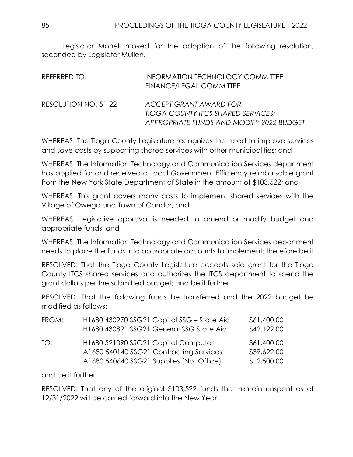Legislator Monell moved for the adoption of the following resolution, seconded by Legislator Mullen.

| REFERRED TO:         | <b>INFORMATION TECHNOLOGY COMMITTEE</b><br>FINANCE/LEGAL COMMITTEE                                       |
|----------------------|----------------------------------------------------------------------------------------------------------|
| RESOLUTION NO. 51-22 | ACCEPT GRANT AWARD FOR<br>TIOGA COUNTY ITCS SHARED SERVICES;<br>APPROPRIATE FUNDS AND MODIFY 2022 BUDGET |

WHEREAS: The Tioga County Legislature recognizes the need to improve services and save costs by supporting shared services with other municipalities; and

WHEREAS: The Information Technology and Communication Services department has applied for and received a Local Government Efficiency reimbursable grant from the New York State Department of State in the amount of \$103,522; and

WHEREAS: This grant covers many costs to implement shared services with the Village of Owego and Town of Candor; and

WHEREAS: Legislative approval is needed to amend or modify budget and appropriate funds; and

WHEREAS: The Information Technology and Communication Services department needs to place the funds into appropriate accounts to implement; therefore be it

RESOLVED: That the Tioga County Legislature accepts said grant for the Tioga County ITCS shared services and authorizes the ITCS department to spend the grant dollars per the submitted budget; and be it further

RESOLVED: That the following funds be transferred and the 2022 budget be modified as follows:

| FROM: | H1680 430970 SSG21 Capital SSG - State Aid<br>H1680 430891 SSG21 General SSG State Aid                                     | \$61,400.00<br>\$42,122.00               |
|-------|----------------------------------------------------------------------------------------------------------------------------|------------------------------------------|
| TO:   | H1680 521090 SSG21 Capital Computer<br>A1680 540140 SSG21 Contracting Services<br>A1680 540640 SSG21 Supplies (Not Office) | \$61,400.00<br>\$39,622.00<br>\$2,500.00 |

and be it further

RESOLVED: That any of the original \$103,522 funds that remain unspent as of 12/31/2022 will be carried forward into the New Year.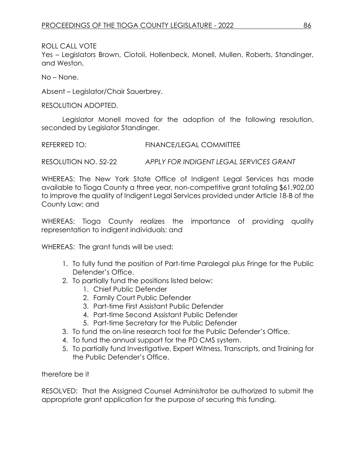ROLL CALL VOTE

Yes – Legislators Brown, Ciotoli, Hollenbeck, Monell, Mullen, Roberts, Standinger, and Weston.

No – None.

Absent – Legislator/Chair Sauerbrey.

RESOLUTION ADOPTED.

Legislator Monell moved for the adoption of the following resolution, seconded by Legislator Standinger.

REFERRED TO: FINANCE/LEGAL COMMITTEE

RESOLUTION NO. 52-22 *APPLY FOR INDIGENT LEGAL SERVICES GRANT*

WHEREAS: The New York State Office of Indigent Legal Services has made available to Tioga County a three year, non-competitive grant totaling \$61,902.00 to improve the quality of Indigent Legal Services provided under Article 18-B of the County Law; and

WHEREAS: Tioga County realizes the importance of providing quality representation to indigent individuals; and

WHEREAS: The grant funds will be used:

- 1. To fully fund the position of Part-time Paralegal plus Fringe for the Public Defender's Office.
- 2. To partially fund the positions listed below:
	- 1. Chief Public Defender
	- 2. Family Court Public Defender
	- 3. Part-time First Assistant Public Defender
	- 4. Part-time Second Assistant Public Defender
	- 5. Part-time Secretary for the Public Defender
- 3. To fund the on-line research tool for the Public Defender's Office.
- 4. To fund the annual support for the PD CMS system.
- 5. To partially fund Investigative, Expert Witness, Transcripts, and Training for the Public Defender's Office.

therefore be it

RESOLVED: That the Assigned Counsel Administrator be authorized to submit the appropriate grant application for the purpose of securing this funding.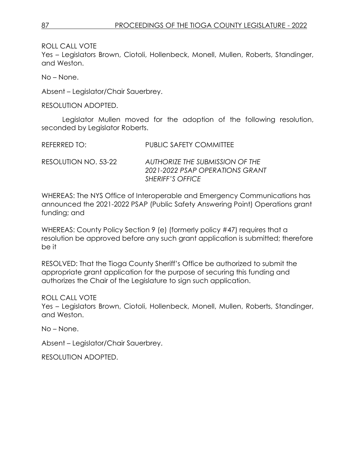ROLL CALL VOTE

Yes – Legislators Brown, Ciotoli, Hollenbeck, Monell, Mullen, Roberts, Standinger, and Weston.

No – None.

Absent – Legislator/Chair Sauerbrey.

RESOLUTION ADOPTED.

Legislator Mullen moved for the adoption of the following resolution, seconded by Legislator Roberts.

| REFERRED TO: | <b>PUBLIC SAFETY COMMITTEE</b> |
|--------------|--------------------------------|
|              |                                |

RESOLUTION NO. 53-22 *AUTHORIZE THE SUBMISSION OF THE 2021-2022 PSAP OPERATIONS GRANT SHERIFF'S OFFICE*

WHEREAS: The NYS Office of Interoperable and Emergency Communications has announced the 2021-2022 PSAP (Public Safety Answering Point) Operations grant funding; and

WHEREAS: County Policy Section 9 (e) (formerly policy #47) requires that a resolution be approved before any such grant application is submitted; therefore be it

RESOLVED: That the Tioga County Sheriff's Office be authorized to submit the appropriate grant application for the purpose of securing this funding and authorizes the Chair of the Legislature to sign such application.

ROLL CALL VOTE Yes – Legislators Brown, Ciotoli, Hollenbeck, Monell, Mullen, Roberts, Standinger, and Weston.

No – None.

Absent – Legislator/Chair Sauerbrey.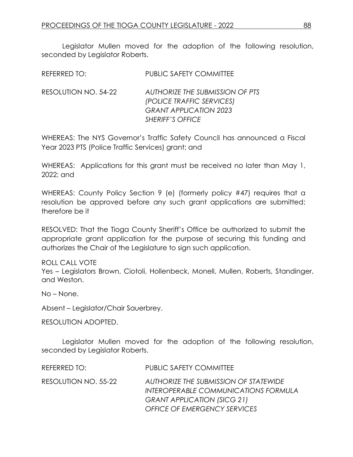Legislator Mullen moved for the adoption of the following resolution, seconded by Legislator Roberts.

| REFERRED TO:         | <b>PUBLIC SAFETY COMMITTEE</b>                                                                                                  |
|----------------------|---------------------------------------------------------------------------------------------------------------------------------|
| RESOLUTION NO. 54-22 | <b>AUTHORIZE THE SUBMISSION OF PTS</b><br>(POLICE TRAFFIC SERVICES)<br><b>GRANT APPLICATION 2023</b><br><b>SHERIFF'S OFFICE</b> |

WHEREAS: The NYS Governor's Traffic Safety Council has announced a Fiscal Year 2023 PTS (Police Traffic Services) grant; and

WHEREAS: Applications for this grant must be received no later than May 1, 2022; and

WHEREAS: County Policy Section 9 (e) (formerly policy #47) requires that a resolution be approved before any such grant applications are submitted; therefore be it

RESOLVED: That the Tioga County Sheriff's Office be authorized to submit the appropriate grant application for the purpose of securing this funding and authorizes the Chair of the Legislature to sign such application.

### ROLL CALL VOTE

Yes – Legislators Brown, Ciotoli, Hollenbeck, Monell, Mullen, Roberts, Standinger, and Weston.

No – None.

Absent – Legislator/Chair Sauerbrey.

RESOLUTION ADOPTED.

Legislator Mullen moved for the adoption of the following resolution, seconded by Legislator Roberts.

| REFERRED TO:         | PUBLIC SAFETY COMMITTEE               |
|----------------------|---------------------------------------|
| RESOLUTION NO. 55-22 | AUTHORIZE THE SUBMISSION OF STATEWIDE |
|                      | INTEROPERABLE COMMUNICATIONS FORMULA  |
|                      | <b>GRANT APPLICATION (SICG 21)</b>    |
|                      | <b>OFFICE OF EMERGENCY SERVICES</b>   |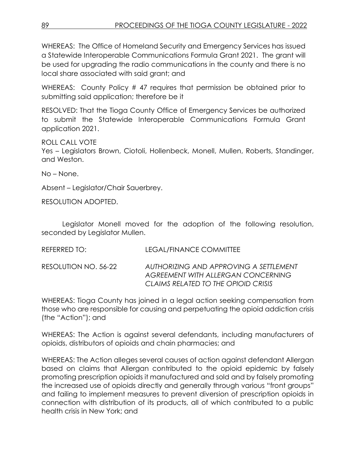WHEREAS: The Office of Homeland Security and Emergency Services has issued a Statewide Interoperable Communications Formula Grant 2021. The grant will be used for upgrading the radio communications in the county and there is no local share associated with said grant; and

WHEREAS: County Policy # 47 requires that permission be obtained prior to submitting said application; therefore be it

RESOLVED: That the Tioga County Office of Emergency Services be authorized to submit the Statewide Interoperable Communications Formula Grant application 2021.

ROLL CALL VOTE Yes – Legislators Brown, Ciotoli, Hollenbeck, Monell, Mullen, Roberts, Standinger, and Weston.

No – None.

Absent – Legislator/Chair Sauerbrey.

RESOLUTION ADOPTED.

Legislator Monell moved for the adoption of the following resolution, seconded by Legislator Mullen.

REFERRED TO: LEGAL/FINANCE COMMITTEE

RESOLUTION NO. 56-22 *AUTHORIZING AND APPROVING A SETTLEMENT AGREEMENT WITH ALLERGAN CONCERNING CLAIMS RELATED TO THE OPIOID CRISIS*

WHEREAS: Tioga County has joined in a legal action seeking compensation from those who are responsible for causing and perpetuating the opioid addiction crisis (the "Action"); and

WHEREAS: The Action is against several defendants, including manufacturers of opioids, distributors of opioids and chain pharmacies; and

WHEREAS: The Action alleges several causes of action against defendant Allergan based on claims that Allergan contributed to the opioid epidemic by falsely promoting prescription opioids it manufactured and sold and by falsely promoting the increased use of opioids directly and generally through various "front groups" and failing to implement measures to prevent diversion of prescription opioids in connection with distribution of its products, all of which contributed to a public health crisis in New York; and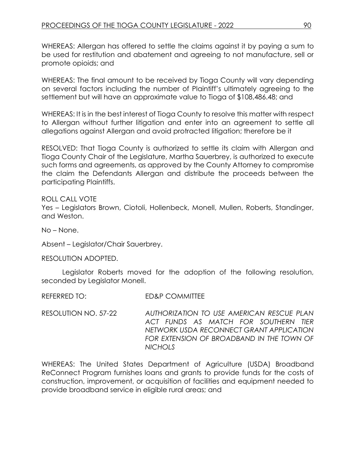WHEREAS: Allergan has offered to settle the claims against it by paying a sum to be used for restitution and abatement and agreeing to not manufacture, sell or promote opioids; and

WHEREAS: The final amount to be received by Tioga County will vary depending on several factors including the number of Plaintiff's ultimately agreeing to the settlement but will have an approximate value to Tioga of \$108,486.48; and

WHEREAS: It is in the best interest of Tioga County to resolve this matter with respect to Allergan without further litigation and enter into an agreement to settle all allegations against Allergan and avoid protracted litigation; therefore be it

RESOLVED: That Tioga County is authorized to settle its claim with Allergan and Tioga County Chair of the Legislature, Martha Sauerbrey, is authorized to execute such forms and agreements, as approved by the County Attorney to compromise the claim the Defendants Allergan and distribute the proceeds between the participating Plaintiffs.

ROLL CALL VOTE Yes – Legislators Brown, Ciotoli, Hollenbeck, Monell, Mullen, Roberts, Standinger, and Weston.

No – None.

Absent – Legislator/Chair Sauerbrey.

RESOLUTION ADOPTED.

Legislator Roberts moved for the adoption of the following resolution, seconded by Legislator Monell.

REFERRED TO: ED&P COMMITTEE

RESOLUTION NO. 57-22 *AUTHORIZATION TO USE AMERICAN RESCUE PLAN ACT FUNDS AS MATCH FOR SOUTHERN TIER NETWORK USDA RECONNECT GRANT APPLICATION FOR EXTENSION OF BROADBAND IN THE TOWN OF NICHOLS*

WHEREAS: The United States Department of Agriculture (USDA) Broadband ReConnect Program furnishes loans and grants to provide funds for the costs of construction, improvement, or acquisition of facilities and equipment needed to provide broadband service in eligible rural areas; and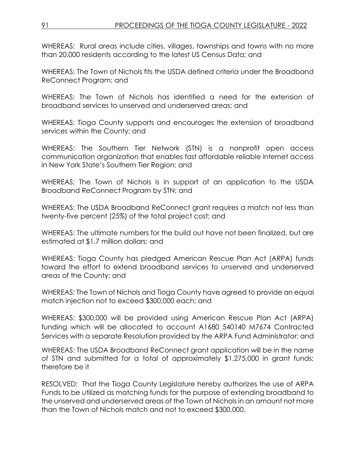WHEREAS: Rural areas include cities, villages, townships and towns with no more than 20,000 residents according to the latest US Census Data; and

WHEREAS: The Town of Nichols fits the USDA defined criteria under the Broadband ReConnect Program; and

WHEREAS: The Town of Nichols has identified a need for the extension of broadband services to unserved and underserved areas; and

WHEREAS: Tioga County supports and encourages the extension of broadband services within the County; and

WHEREAS: The Southern Tier Network (STN) is a nonprofit open access communication organization that enables fast affordable reliable internet access in New York State's Southern Tier Region; and

WHEREAS: The Town of Nichols is in support of an application to the USDA Broadband ReConnect Program by STN; and

WHEREAS: The USDA Broadband ReConnect grant requires a match not less than twenty-five percent (25%) of the total project cost; and

WHEREAS: The ultimate numbers for the build out have not been finalized, but are estimated at \$1.7 million dollars; and

WHEREAS: Tioga County has pledged American Rescue Plan Act (ARPA) funds toward the effort to extend broadband services to unserved and underserved areas of the County; and

WHEREAS: The Town of Nichols and Tioga County have agreed to provide an equal match injection not to exceed \$300,000 each; and

WHEREAS: \$300,000 will be provided using American Rescue Plan Act (ARPA) funding which will be allocated to account A1680 540140 M7674 Contracted Services with a separate Resolution provided by the ARPA Fund Administrator; and

WHEREAS: The USDA Broadband ReConnect grant application will be in the name of STN and submitted for a total of approximately \$1,275,000 in grant funds; therefore be it

RESOLVED: That the Tioga County Legislature hereby authorizes the use of ARPA Funds to be utilized as matching funds for the purpose of extending broadband to the unserved and underserved areas of the Town of Nichols in an amount not more than the Town of Nichols match and not to exceed \$300,000.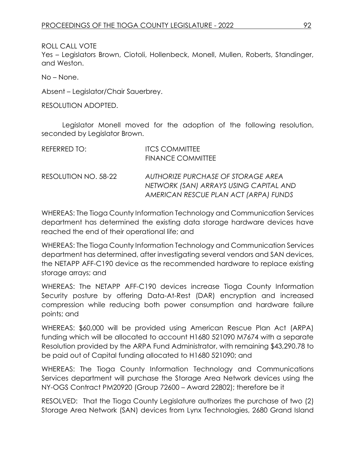ROLL CALL VOTE

Yes – Legislators Brown, Ciotoli, Hollenbeck, Monell, Mullen, Roberts, Standinger, and Weston.

No – None.

Absent – Legislator/Chair Sauerbrey.

RESOLUTION ADOPTED.

Legislator Monell moved for the adoption of the following resolution, seconded by Legislator Brown.

| REFERRED TO:         | <b>ITCS COMMITTEE</b><br><b>FINANCE COMMITTEE</b>                                                                     |
|----------------------|-----------------------------------------------------------------------------------------------------------------------|
| RESOLUTION NO. 58-22 | AUTHORIZE PURCHASE OF STORAGE AREA<br>NETWORK (SAN) ARRAYS USING CAPITAL AND<br>AMERICAN RESCUE PLAN ACT (ARPA) FUNDS |

WHEREAS: The Tioga County Information Technology and Communication Services department has determined the existing data storage hardware devices have reached the end of their operational life; and

WHEREAS: The Tioga County Information Technology and Communication Services department has determined, after investigating several vendors and SAN devices, the NETAPP AFF-C190 device as the recommended hardware to replace existing storage arrays; and

WHEREAS: The NETAPP AFF-C190 devices increase Tioga County Information Security posture by offering Data-At-Rest (DAR) encryption and increased compression while reducing both power consumption and hardware failure points; and

WHEREAS: \$60,000 will be provided using American Rescue Plan Act (ARPA) funding which will be allocated to account H1680 521090 M7674 with a separate Resolution provided by the ARPA Fund Administrator, with remaining \$43,290.78 to be paid out of Capital funding allocated to H1680 521090; and

WHEREAS: The Tioga County Information Technology and Communications Services department will purchase the Storage Area Network devices using the NY-OGS Contract PM20920 (Group 72600 – Award 22802); therefore be it

RESOLVED: That the Tioga County Legislature authorizes the purchase of two (2) Storage Area Network (SAN) devices from Lynx Technologies, 2680 Grand Island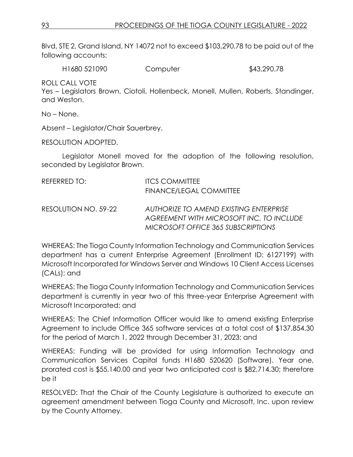Blvd, STE 2, Grand Island, NY 14072 not to exceed \$103,290.78 to be paid out of the following accounts:

H1680 521090 Computer \$43,290.78

ROLL CALL VOTE

Yes – Legislators Brown, Ciotoli, Hollenbeck, Monell, Mullen, Roberts, Standinger, and Weston.

No – None.

Absent – Legislator/Chair Sauerbrey.

RESOLUTION ADOPTED.

Legislator Monell moved for the adoption of the following resolution, seconded by Legislator Brown.

| REFERRED TO:         | <b>ITCS COMMITTEE</b><br><b>FINANCE/LEGAL COMMITTEE</b>                            |
|----------------------|------------------------------------------------------------------------------------|
| RESOLUTION NO. 59-22 | AUTHORIZE TO AMEND EXISTING ENTERPRISE<br>AGREEMENT WITH MICROSOFT INC. TO INCLUDE |
|                      | MICROSOFT OFFICE 365 SUBSCRIPTIONS                                                 |

WHEREAS: The Tioga County Information Technology and Communication Services department has a current Enterprise Agreement (Enrollment ID: 6127199) with Microsoft Incorporated for Windows Server and Windows 10 Client Access Licenses (CALs); and

WHEREAS: The Tioga County Information Technology and Communication Services department is currently in year two of this three-year Enterprise Agreement with Microsoft Incorporated; and

WHEREAS: The Chief Information Officer would like to amend existing Enterprise Agreement to include Office 365 software services at a total cost of \$137,854.30 for the period of March 1, 2022 through December 31, 2023; and

WHEREAS: Funding will be provided for using Information Technology and Communication Services Capital funds H1680 520620 (Software). Year one, prorated cost is \$55,140.00 and year two anticipated cost is \$82,714.30; therefore be it

RESOLVED: That the Chair of the County Legislature is authorized to execute an agreement amendment between Tioga County and Microsoft, Inc. upon review by the County Attorney.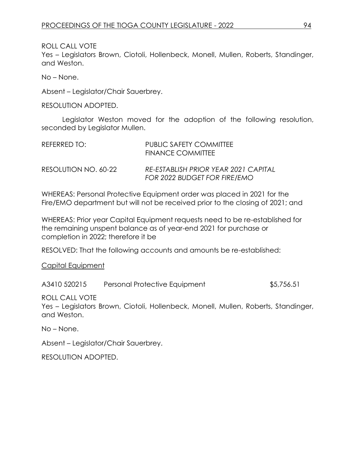ROLL CALL VOTE

Yes – Legislators Brown, Ciotoli, Hollenbeck, Monell, Mullen, Roberts, Standinger, and Weston.

No – None.

Absent – Legislator/Chair Sauerbrey.

RESOLUTION ADOPTED.

Legislator Weston moved for the adoption of the following resolution, seconded by Legislator Mullen.

| REFERRED TO:         | PUBLIC SAFETY COMMITTEE<br>FINANCE COMMITTEE                         |
|----------------------|----------------------------------------------------------------------|
| RESOLUTION NO. 60-22 | RE-ESTABLISH PRIOR YEAR 2021 CAPITAL<br>FOR 2022 BUDGET FOR FIRE/EMO |

WHEREAS: Personal Protective Equipment order was placed in 2021 for the Fire/EMO department but will not be received prior to the closing of 2021; and

WHEREAS: Prior year Capital Equipment requests need to be re-established for the remaining unspent balance as of year-end 2021 for purchase or completion in 2022; therefore it be

RESOLVED: That the following accounts and amounts be re-established:

Capital Equipment

A3410 520215 Personal Protective Equipment \$5,756.51

ROLL CALL VOTE

Yes – Legislators Brown, Ciotoli, Hollenbeck, Monell, Mullen, Roberts, Standinger, and Weston.

No – None.

Absent – Legislator/Chair Sauerbrey.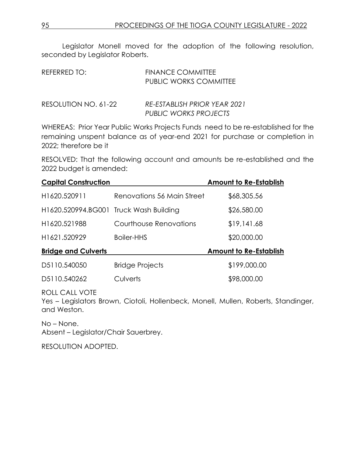Legislator Monell moved for the adoption of the following resolution, seconded by Legislator Roberts.

| REFERRED TO:         | <b>FINANCE COMMITTEE</b><br><b>PUBLIC WORKS COMMITTEE</b> |
|----------------------|-----------------------------------------------------------|
| RESOLUTION NO. 61-22 | RE-ESTABLISH PRIOR YEAR 2021<br>PUBLIC WORKS PROJECTS     |

WHEREAS: Prior Year Public Works Projects Funds need to be re-established for the remaining unspent balance as of year-end 2021 for purchase or completion in 2022; therefore be it

RESOLVED: That the following account and amounts be re-established and the 2022 budget is amended:

| <b>Capital Construction</b>            |                            | <b>Amount to Re-Establish</b> |
|----------------------------------------|----------------------------|-------------------------------|
| H1620.520911                           | Renovations 56 Main Street | \$68,305.56                   |
| H1620.520994.BG001 Truck Wash Building |                            | \$26,580.00                   |
| H1620.521988                           | Courthouse Renovations     | \$19,141.68                   |
| H1621.520929                           | Boiler-HHS                 | \$20,000.00                   |
| <b>Bridge and Culverts</b>             |                            | <b>Amount to Re-Establish</b> |
| D5110.540050                           | <b>Bridge Projects</b>     | \$199,000.00                  |
| D5110.540262                           | Culverts                   | \$98,000.00                   |

### ROLL CALL VOTE

Yes – Legislators Brown, Ciotoli, Hollenbeck, Monell, Mullen, Roberts, Standinger, and Weston.

No – None. Absent – Legislator/Chair Sauerbrey.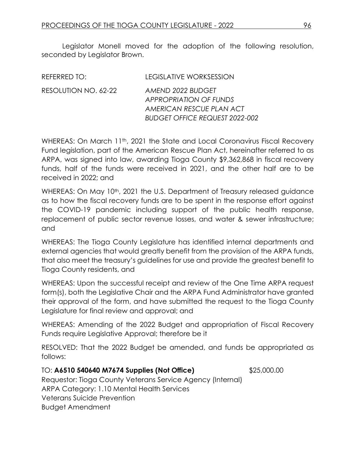Legislator Monell moved for the adoption of the following resolution, seconded by Legislator Brown.

| REFERRED TO:         | LEGISLATIVE WORKSESSION                                                                                                 |
|----------------------|-------------------------------------------------------------------------------------------------------------------------|
| RESOLUTION NO. 62-22 | AMEND 2022 BUDGET<br><b>APPROPRIATION OF FUNDS</b><br>AMERICAN RESCUE PLAN ACT<br><b>BUDGET OFFICE REQUEST 2022-002</b> |

WHEREAS: On March 11<sup>th</sup>, 2021 the State and Local Coronavirus Fiscal Recovery Fund legislation, part of the American Rescue Plan Act, hereinafter referred to as ARPA, was signed into law, awarding Tioga County \$9,362,868 in fiscal recovery funds, half of the funds were received in 2021, and the other half are to be received in 2022; and

WHEREAS: On May 10<sup>th</sup>, 2021 the U.S. Department of Treasury released guidance as to how the fiscal recovery funds are to be spent in the response effort against the COVID-19 pandemic including support of the public health response, replacement of public sector revenue losses, and water & sewer infrastructure; and

WHEREAS: The Tioga County Legislature has identified internal departments and external agencies that would greatly benefit from the provision of the ARPA funds, that also meet the treasury's guidelines for use and provide the greatest benefit to Tioga County residents, and

WHEREAS: Upon the successful receipt and review of the One Time ARPA request form(s), both the Legislative Chair and the ARPA Fund Administrator have granted their approval of the form, and have submitted the request to the Tioga County Legislature for final review and approval; and

WHEREAS: Amending of the 2022 Budget and appropriation of Fiscal Recovery Funds require Legislative Approval; therefore be it

RESOLVED: That the 2022 Budget be amended, and funds be appropriated as follows:

TO: **A6510 540640 M7674 Supplies (Not Office)** \$25,000.00 Requestor: Tioga County Veterans Service Agency (Internal) ARPA Category: 1.10 Mental Health Services Veterans Suicide Prevention Budget Amendment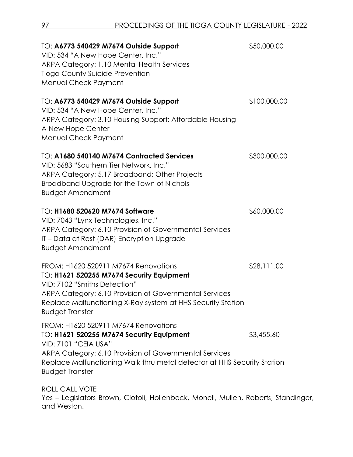| TO: A6773 540429 M7674 Outside Support<br>VID: 534 "A New Hope Center, Inc."<br>ARPA Category: 1.10 Mental Health Services<br><b>Tioga County Suicide Prevention</b><br>Manual Check Payment                                                                                    | \$50,000.00  |
|---------------------------------------------------------------------------------------------------------------------------------------------------------------------------------------------------------------------------------------------------------------------------------|--------------|
| TO: A6773 540429 M7674 Outside Support<br>VID: 534 "A New Hope Center, Inc."<br>ARPA Category: 3.10 Housing Support: Affordable Housing<br>A New Hope Center<br>Manual Check Payment                                                                                            | \$100,000.00 |
| TO: A1680 540140 M7674 Contracted Services<br>VID: 5683 "Southern Tier Network, Inc."<br>ARPA Category: 5.17 Broadband: Other Projects<br>Broadband Upgrade for the Town of Nichols<br><b>Budget Amendment</b>                                                                  | \$300,000.00 |
| TO: H1680 520620 M7674 Software<br>VID: 7043 "Lynx Technologies, Inc."<br>ARPA Category: 6.10 Provision of Governmental Services<br>IT – Data at Rest (DAR) Encryption Upgrade<br><b>Budget Amendment</b>                                                                       | \$60,000.00  |
| FROM: H1620 520911 M7674 Renovations<br>TO: H1621 520255 M7674 Security Equipment<br>VID: 7102 "Smiths Detection"<br>ARPA Category: 6.10 Provision of Governmental Services<br>Replace Malfunctioning X-Ray system at HHS Security Station<br><b>Budget Transfer</b>            | \$28,111.00  |
| FROM: H1620 520911 M7674 Renovations<br>TO: H1621 520255 M7674 Security Equipment<br><b>VID: 7101 "CEIA USA"</b><br>ARPA Category: 6.10 Provision of Governmental Services<br>Replace Malfunctioning Walk thru metal detector at HHS Security Station<br><b>Budget Transfer</b> | \$3,455.60   |
| ROLL CALL VOTE                                                                                                                                                                                                                                                                  |              |

Yes – Legislators Brown, Ciotoli, Hollenbeck, Monell, Mullen, Roberts, Standinger, and Weston.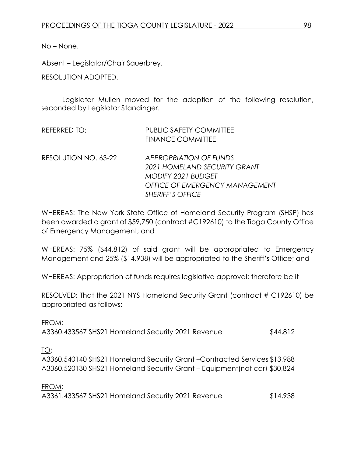No – None.

Absent – Legislator/Chair Sauerbrey.

RESOLUTION ADOPTED.

Legislator Mullen moved for the adoption of the following resolution, seconded by Legislator Standinger.

| REFERRED TO:         | PUBLIC SAFETY COMMITTEE<br><b>FINANCE COMMITTEE</b>                                                                                                            |
|----------------------|----------------------------------------------------------------------------------------------------------------------------------------------------------------|
| RESOLUTION NO. 63-22 | <b>APPROPRIATION OF FUNDS</b><br>2021 HOMELAND SECURITY GRANT<br><b>MODIFY 2021 BUDGET</b><br><b>OFFICE OF EMERGENCY MANAGEMENT</b><br><b>SHERIFF'S OFFICE</b> |

WHEREAS: The New York State Office of Homeland Security Program (SHSP) has been awarded a grant of \$59,750 (contract #C192610) to the Tioga County Office of Emergency Management; and

WHEREAS: 75% (\$44,812) of said grant will be appropriated to Emergency Management and 25% (\$14,938) will be appropriated to the Sheriff's Office; and

WHEREAS: Appropriation of funds requires legislative approval; therefore be it

RESOLVED: That the 2021 NYS Homeland Security Grant (contract # C192610) be appropriated as follows:

FROM: A3360.433567 SHS21 Homeland Security 2021 Revenue \$44,812

TO:

A3360.540140 SHS21 Homeland Security Grant –Contracted Services \$13,988 A3360.520130 SHS21 Homeland Security Grant – Equipment(not car) \$30,824

FROM: A3361.433567 SHS21 Homeland Security 2021 Revenue \$14,938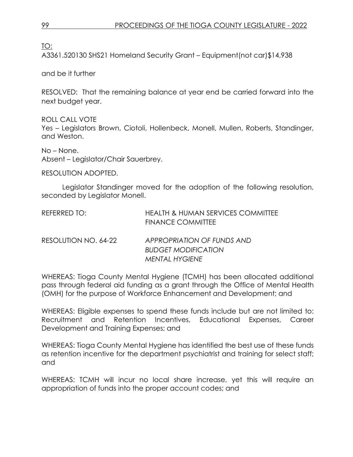TO:

A3361.520130 SHS21 Homeland Security Grant – Equipment(not car)\$14,938

and be it further

RESOLVED: That the remaining balance at year end be carried forward into the next budget year.

ROLL CALL VOTE Yes – Legislators Brown, Ciotoli, Hollenbeck, Monell, Mullen, Roberts, Standinger, and Weston.

No – None. Absent – Legislator/Chair Sauerbrey.

RESOLUTION ADOPTED.

Legislator Standinger moved for the adoption of the following resolution, seconded by Legislator Monell.

| REFERRED TO:         | <b>HEALTH &amp; HUMAN SERVICES COMMITTEE</b><br><b>FINANCE COMMITTEE</b> |
|----------------------|--------------------------------------------------------------------------|
| RESOLUTION NO. 64-22 | APPROPRIATION OF FUNDS AND                                               |
|                      | <b>BUDGET MODIFICATION</b>                                               |
|                      | MENTAL HYGIENE                                                           |

WHEREAS: Tioga County Mental Hygiene (TCMH) has been allocated additional pass through federal aid funding as a grant through the Office of Mental Health (OMH) for the purpose of Workforce Enhancement and Development; and

WHEREAS: Eligible expenses to spend these funds include but are not limited to: Recruitment and Retention Incentives, Educational Expenses, Career Development and Training Expenses; and

WHEREAS: Tioga County Mental Hygiene has identified the best use of these funds as retention incentive for the department psychiatrist and training for select staff; and

WHEREAS: TCMH will incur no local share increase, yet this will require an appropriation of funds into the proper account codes; and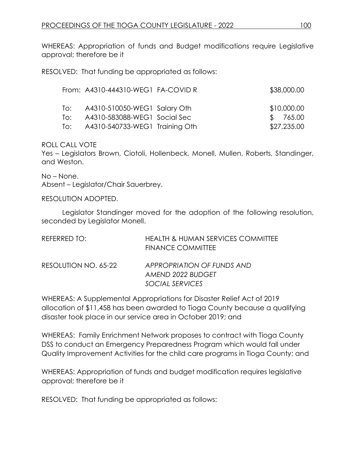WHEREAS: Appropriation of funds and Budget modifications require Legislative approval; therefore be it

RESOLVED: That funding be appropriated as follows:

|     | From: A4310-444310-WEG1 FA-COVID R | \$38,000.00 |
|-----|------------------------------------|-------------|
| To: | A4310-510050-WEG1 Salary Oth       | \$10,000.00 |
| To: | A4310-583088-WEG1 Social Sec       | \$765.00    |
| To: | A4310-540733-WEG1 Training Oth     | \$27,235.00 |

ROLL CALL VOTE

Yes – Legislators Brown, Ciotoli, Hollenbeck, Monell, Mullen, Roberts, Standinger, and Weston.

No – None. Absent – Legislator/Chair Sauerbrey.

RESOLUTION ADOPTED.

Legislator Standinger moved for the adoption of the following resolution, seconded by Legislator Monell.

| REFERRED TO:         | HEALTH & HUMAN SERVICES COMMITTEE<br><b>FINANCE COMMITTEE</b>      |
|----------------------|--------------------------------------------------------------------|
| RESOLUTION NO. 65-22 | APPROPRIATION OF FUNDS AND<br>AMEND 2022 BUDGET<br>SOCIAL SERVICES |

WHEREAS: A Supplemental Appropriations for Disaster Relief Act of 2019 allocation of \$11,458 has been awarded to Tioga County because a qualifying disaster took place in our service area in October 2019; and

WHEREAS: Family Enrichment Network proposes to contract with Tioga County DSS to conduct an Emergency Preparedness Program which would fall under Quality Improvement Activities for the child care programs in Tioga County; and

WHEREAS: Appropriation of funds and budget modification requires legislative approval; therefore be it

RESOLVED: That funding be appropriated as follows: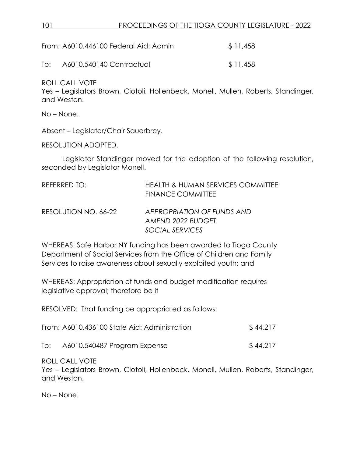## 101 PROCEEDINGS OF THE TIOGA COUNTY LEGISLATURE - 2022

|     | From: A6010.446100 Federal Aid: Admin | \$11,458 |
|-----|---------------------------------------|----------|
| To: | A6010.540140 Contractual              | \$11,458 |

ROLL CALL VOTE

Yes – Legislators Brown, Ciotoli, Hollenbeck, Monell, Mullen, Roberts, Standinger, and Weston.

No – None.

Absent – Legislator/Chair Sauerbrey.

RESOLUTION ADOPTED.

Legislator Standinger moved for the adoption of the following resolution, seconded by Legislator Monell.

| REFERRED TO:         | <b>HEALTH &amp; HUMAN SERVICES COMMITTEE</b><br><b>FINANCE COMMITTEE</b> |
|----------------------|--------------------------------------------------------------------------|
| RESOLUTION NO. 66-22 | APPROPRIATION OF FUNDS AND<br>AMEND 2022 BUDGET                          |
|                      | SOCIAL SERVICES                                                          |

WHEREAS: Safe Harbor NY funding has been awarded to Tioga County Department of Social Services from the Office of Children and Family Services to raise awareness about sexually exploited youth: and

WHEREAS: Appropriation of funds and budget modification requires legislative approval; therefore be it

RESOLVED: That funding be appropriated as follows:

| From: A6010.436100 State Aid: Administration | \$44,217 |
|----------------------------------------------|----------|
|                                              |          |

To: A6010.540487 Program Expense \$ 44,217

ROLL CALL VOTE

Yes – Legislators Brown, Ciotoli, Hollenbeck, Monell, Mullen, Roberts, Standinger, and Weston.

No – None.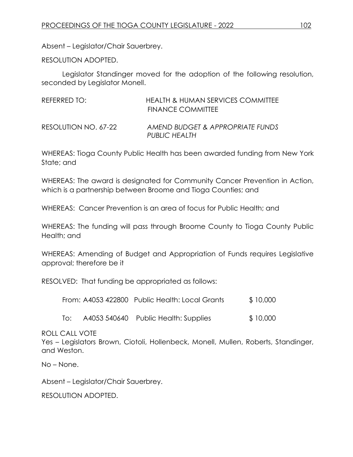Absent – Legislator/Chair Sauerbrey.

RESOLUTION ADOPTED.

Legislator Standinger moved for the adoption of the following resolution, seconded by Legislator Monell.

| REFERRED TO:         | <b>HEALTH &amp; HUMAN SERVICES COMMITTEE</b><br>FINANCE COMMITTEE |
|----------------------|-------------------------------------------------------------------|
| RESOLUTION NO. 67-22 | AMEND BUDGET & APPROPRIATE FUNDS<br><b>PUBLIC HEALTH</b>          |

WHEREAS: Tioga County Public Health has been awarded funding from New York State; and

WHEREAS: The award is designated for Community Cancer Prevention in Action, which is a partnership between Broome and Tioga Counties; and

WHEREAS: Cancer Prevention is an area of focus for Public Health; and

WHEREAS: The funding will pass through Broome County to Tioga County Public Health; and

WHEREAS: Amending of Budget and Appropriation of Funds requires Legislative approval; therefore be it

RESOLVED: That funding be appropriated as follows:

| From: A4053 422800 Public Health: Local Grants | \$10,000 |
|------------------------------------------------|----------|
|                                                |          |

To: A4053 540640 Public Health: Supplies \$ 10,000

ROLL CALL VOTE

Yes – Legislators Brown, Ciotoli, Hollenbeck, Monell, Mullen, Roberts, Standinger, and Weston.

No – None.

Absent – Legislator/Chair Sauerbrey.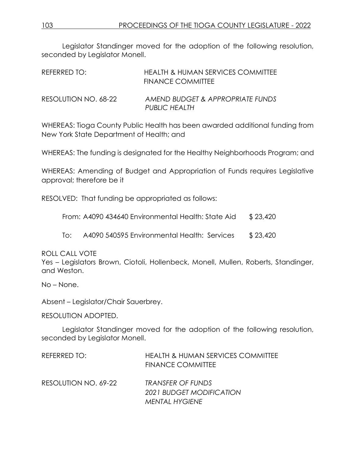Legislator Standinger moved for the adoption of the following resolution, seconded by Legislator Monell.

| REFERRED TO:         | HEALTH & HUMAN SERVICES COMMITTEE<br><b>FINANCE COMMITTEE</b> |
|----------------------|---------------------------------------------------------------|
| RESOLUTION NO. 68-22 | AMEND BUDGET & APPROPRIATE FUNDS<br><b>PUBLIC HEALTH</b>      |

WHEREAS: Tioga County Public Health has been awarded additional funding from New York State Department of Health; and

WHEREAS: The funding is designated for the Healthy Neighborhoods Program; and

WHEREAS: Amending of Budget and Appropriation of Funds requires Legislative approval; therefore be it

RESOLVED: That funding be appropriated as follows:

From: A4090 434640 Environmental Health: State Aid \$ 23,420

To: A4090 540595 Environmental Health: Services \$ 23,420

ROLL CALL VOTE

Yes – Legislators Brown, Ciotoli, Hollenbeck, Monell, Mullen, Roberts, Standinger, and Weston.

No – None.

Absent – Legislator/Chair Sauerbrey.

RESOLUTION ADOPTED.

Legislator Standinger moved for the adoption of the following resolution, seconded by Legislator Monell.

| REFERRED TO:         | <b>HEALTH &amp; HUMAN SERVICES COMMITTEE</b><br><b>FINANCE COMMITTEE</b> |
|----------------------|--------------------------------------------------------------------------|
| RESOLUTION NO. 69-22 | TRANSFER OF FUNDS<br>2021 BUDGET MODIFICATION                            |
|                      | <b>MENTAL HYGIENE</b>                                                    |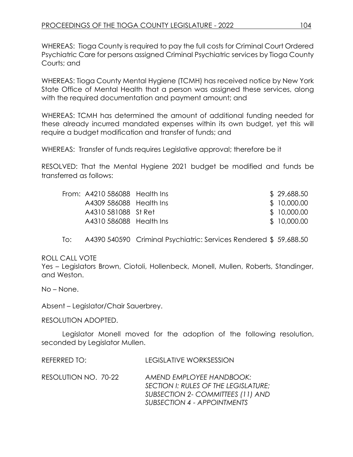WHEREAS: Tioga County is required to pay the full costs for Criminal Court Ordered Psychiatric Care for persons assigned Criminal Psychiatric services by Tioga County Courts; and

WHEREAS: Tioga County Mental Hygiene (TCMH) has received notice by New York State Office of Mental Health that a person was assigned these services, along with the required documentation and payment amount; and

WHEREAS: TCMH has determined the amount of additional funding needed for these already incurred mandated expenses within its own budget, yet this will require a budget modification and transfer of funds; and

WHEREAS: Transfer of funds requires Legislative approval; therefore be it

RESOLVED: That the Mental Hygiene 2021 budget be modified and funds be transferred as follows:

| From: A4210 586088 Health Ins |  | \$29,688.50  |
|-------------------------------|--|--------------|
| A4309 586088 Health Ins       |  | \$ 10,000.00 |
| A4310 581088 St Ret           |  | \$10,000.00  |
| A4310 586088 Health Ins       |  | \$10,000.00  |
|                               |  |              |

To: A4390 540590 Criminal Psychiatric: Services Rendered \$ 59,688.50

ROLL CALL VOTE

Yes – Legislators Brown, Ciotoli, Hollenbeck, Monell, Mullen, Roberts, Standinger, and Weston.

No – None.

Absent – Legislator/Chair Sauerbrey.

RESOLUTION ADOPTED.

Legislator Monell moved for the adoption of the following resolution, seconded by Legislator Mullen.

REFERRED TO: LEGISLATIVE WORKSESSION

RESOLUTION NO. 70-22 *AMEND EMPLOYEE HANDBOOK: SECTION I: RULES OF THE LEGISLATURE; SUBSECTION 2- COMMITTEES (11) AND SUBSECTION 4 - APPOINTMENTS*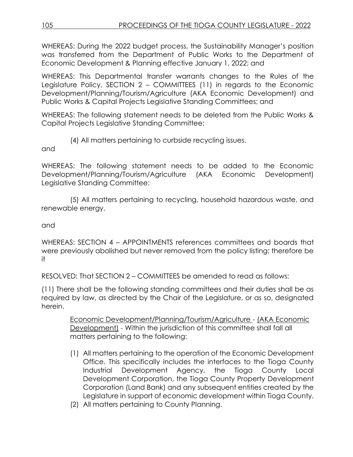WHEREAS: During the 2022 budget process, the Sustainability Manager's position was transferred from the Department of Public Works to the Department of Economic Development & Planning effective January 1, 2022; and

WHEREAS: This Departmental transfer warrants changes to the Rules of the Legislature Policy, SECTION 2 – COMMITTEES (11) in regards to the Economic Development/Planning/Tourism/Agriculture (AKA Economic Development) and Public Works & Capital Projects Legislative Standing Committees; and

WHEREAS: The following statement needs to be deleted from the Public Works & Capital Projects Legislative Standing Committee:

(4) All matters pertaining to curbside recycling issues.

and

WHEREAS: The following statement needs to be added to the Economic Development/Planning/Tourism/Agriculture (AKA Economic Development) Legislative Standing Committee:

(5) All matters pertaining to recycling, household hazardous waste, and renewable energy.

and

WHEREAS: SECTION 4 – APPOINTMENTS references committees and boards that were previously abolished but never removed from the policy listing; therefore be it

RESOLVED: That SECTION 2 – COMMITTEES be amended to read as follows:

(11) There shall be the following standing committees and their duties shall be as required by law, as directed by the Chair of the Legislature, or as so, designated herein.

> Economic Development/Planning/Tourism/Agriculture - (AKA Economic Development) - Within the jurisdiction of this committee shall fall all matters pertaining to the following:

- (1) All matters pertaining to the operation of the Economic Development Office. This specifically includes the interfaces to the Tioga County Industrial Development Agency, the Tioga County Local Development Corporation, the Tioga County Property Development Corporation (Land Bank) and any subsequent entities created by the Legislature in support of economic development within Tioga County.
- (2) All matters pertaining to County Planning.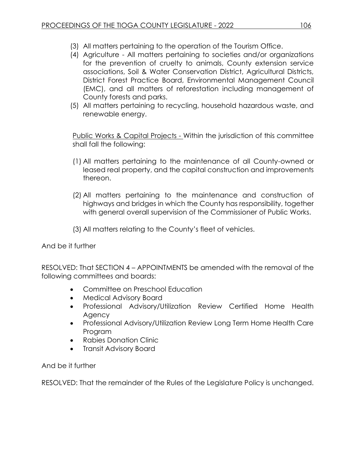- (3) All matters pertaining to the operation of the Tourism Office.
- (4) Agriculture All matters pertaining to societies and/or organizations for the prevention of cruelty to animals, County extension service associations, Soil & Water Conservation District, Agricultural Districts, District Forest Practice Board, Environmental Management Council (EMC), and all matters of reforestation including management of County forests and parks.
- (5) All matters pertaining to recycling, household hazardous waste, and renewable energy.

Public Works & Capital Projects - Within the jurisdiction of this committee shall fall the following:

- (1) All matters pertaining to the maintenance of all County-owned or leased real property, and the capital construction and improvements thereon.
- (2) All matters pertaining to the maintenance and construction of highways and bridges in which the County has responsibility, together with general overall supervision of the Commissioner of Public Works.
- (3) All matters relating to the County's fleet of vehicles.

And be it further

RESOLVED: That SECTION 4 – APPOINTMENTS be amended with the removal of the following committees and boards:

- Committee on Preschool Education
- Medical Advisory Board
- Professional Advisory/Utilization Review Certified Home Health **Agency**
- Professional Advisory/Utilization Review Long Term Home Health Care Program
- Rabies Donation Clinic
- Transit Advisory Board

And be it further

RESOLVED: That the remainder of the Rules of the Legislature Policy is unchanged.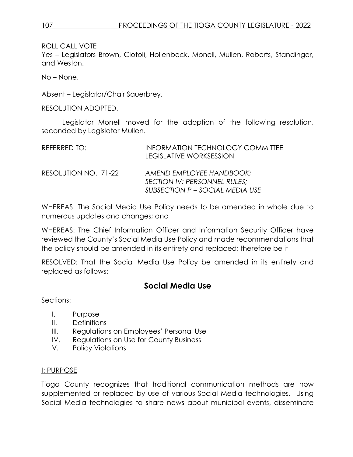ROLL CALL VOTE

Yes – Legislators Brown, Ciotoli, Hollenbeck, Monell, Mullen, Roberts, Standinger, and Weston.

No – None.

Absent – Legislator/Chair Sauerbrey.

RESOLUTION ADOPTED.

Legislator Monell moved for the adoption of the following resolution, seconded by Legislator Mullen.

| REFERRED TO:         | <b>INFORMATION TECHNOLOGY COMMITTEE</b><br><b>LEGISLATIVE WORKSESSION</b>                   |
|----------------------|---------------------------------------------------------------------------------------------|
| RESOLUTION NO. 71-22 | AMEND EMPLOYEE HANDBOOK;<br>SECTION IV: PERSONNEL RULES;<br>SUBSECTION P - SOCIAL MEDIA USE |

WHEREAS: The Social Media Use Policy needs to be amended in whole due to numerous updates and changes; and

WHEREAS: The Chief Information Officer and Information Security Officer have reviewed the County's Social Media Use Policy and made recommendations that the policy should be amended in its entirety and replaced; therefore be it

RESOLVED: That the Social Media Use Policy be amended in its entirety and replaced as follows:

# **Social Media Use**

Sections:

- I. Purpose
- II. Definitions
- III. Regulations on Employees' Personal Use
- IV. Regulations on Use for County Business
- V. Policy Violations

### I: PURPOSE

Tioga County recognizes that traditional communication methods are now supplemented or replaced by use of various Social Media technologies. Using Social Media technologies to share news about municipal events, disseminate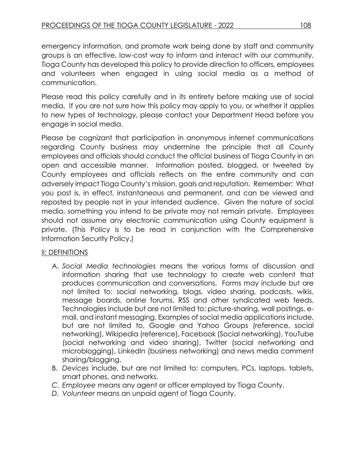emergency information, and promote work being done by staff and community groups is an effective, low-cost way to inform and interact with our community. Tioga County has developed this policy to provide direction to officers, employees and volunteers when engaged in using social media as a method of communication.

Please read this policy carefully and in its entirety before making use of social media. If you are not sure how this policy may apply to you, or whether it applies to new types of technology, please contact your Department Head before you engage in social media.

Please be cognizant that participation in anonymous internet communications regarding County business may undermine the principle that all County employees and officials should conduct the official business of Tioga County in an open and accessible manner. Information posted, blogged, or tweeted by County employees and officials reflects on the entire community and can adversely impact Tioga County's mission, goals and reputation. Remember: What you post is, in effect, instantaneous and permanent, and can be viewed and reposted by people not in your intended audience. Given the nature of social media, something you intend to be private may not remain private. Employees should not assume any electronic communication using County equipment is private. (This Policy is to be read in conjunction with the Comprehensive Information Security Policy.)

# II: DEFINITIONS

- A. *Social Media technologies* means the various forms of discussion and information sharing that use technology to create web content that produces communication and conversations. Forms may include but are not limited to: social networking, blogs, video sharing, podcasts, wikis, message boards, online forums, RSS and other syndicated web feeds. Technologies include but are not limited to: picture-sharing, wall postings, email, and instant messaging. Examples of social media applications include, but are not limited to, Google and Yahoo Groups (reference, social networking), Wikipedia (reference), Facebook (Social networking), YouTube (social networking and video sharing), Twitter (social networking and microblogging), LinkedIn (business networking) and news media comment sharing/blogging.
- B. *Devices* include, but are not limited to: computers, PCs, laptops, tablets, smart phones, and networks.
- *C. Employee* means any agent or officer employed by Tioga County.
- *D. Volunteer* means an unpaid agent of Tioga County.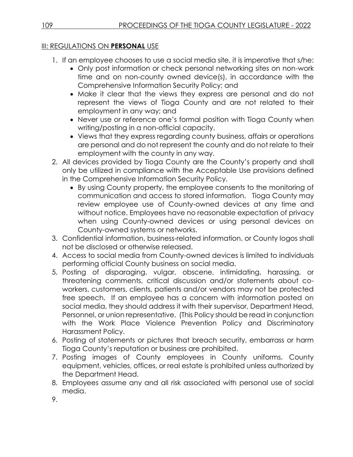# III: REGULATIONS ON **PERSONAL** USE

- 1. If an employee chooses to use a social media site, it is imperative that s/he:
	- Only post information or check personal networking sites on non-work time and on non-county owned device(s), in accordance with the Comprehensive Information Security Policy; and
	- Make it clear that the views they express are personal and do not represent the views of Tioga County and are not related to their employment in any way; and
	- Never use or reference one's formal position with Tioga County when writing/posting in a non-official capacity.
	- Views that they express regarding county business, affairs or operations are personal and do not represent the county and do not relate to their employment with the county in any way.
- 2. All devices provided by Tioga County are the County's property and shall only be utilized in compliance with the Acceptable Use provisions defined in the Comprehensive Information Security Policy.
	- By using County property, the employee consents to the monitoring of communication and access to stored information. Tioga County may review employee use of County-owned devices at any time and without notice. Employees have no reasonable expectation of privacy when using County-owned devices or using personal devices on County-owned systems or networks.
- 3. Confidential information, business-related information, or County logos shall not be disclosed or otherwise released.
- 4. Access to social media from County-owned devices is limited to individuals performing official County business on social media.
- 5. Posting of disparaging, vulgar, obscene, intimidating, harassing, or threatening comments, critical discussion and/or statements about coworkers, customers, clients, patients and/or vendors may not be protected free speech. If an employee has a concern with information posted on social media, they should address it with their supervisor, Department Head, Personnel, or union representative. (This Policy should be read in conjunction with the Work Place Violence Prevention Policy and Discriminatory Harassment Policy.
- 6. Posting of statements or pictures that breach security, embarrass or harm Tioga County's reputation or business are prohibited.
- 7. Posting images of County employees in County uniforms, County equipment, vehicles, offices, or real estate is prohibited unless authorized by the Department Head.
- 8. Employees assume any and all risk associated with personal use of social media.
- 9.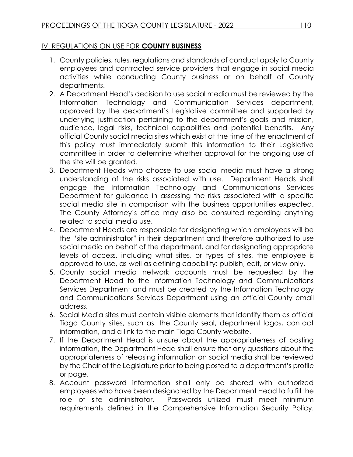# IV: REGULATIONS ON USE FOR **COUNTY BUSINESS**

- 1. County policies, rules, regulations and standards of conduct apply to County employees and contracted service providers that engage in social media activities while conducting County business or on behalf of County departments.
- 2. A Department Head's decision to use social media must be reviewed by the Information Technology and Communication Services department, approved by the department's Legislative committee and supported by underlying justification pertaining to the department's goals and mission, audience, legal risks, technical capabilities and potential benefits. Any official County social media sites which exist at the time of the enactment of this policy must immediately submit this information to their Legislative committee in order to determine whether approval for the ongoing use of the site will be granted.
- 3. Department Heads who choose to use social media must have a strong understanding of the risks associated with use. Department Heads shall engage the Information Technology and Communications Services Department for guidance in assessing the risks associated with a specific social media site in comparison with the business opportunities expected. The County Attorney's office may also be consulted regarding anything related to social media use.
- 4. Department Heads are responsible for designating which employees will be the "site administrator" in their department and therefore authorized to use social media on behalf of the department, and for designating appropriate levels of access, including what sites, or types of sites, the employee is approved to use, as well as defining capability: publish, edit, or view only.
- 5. County social media network accounts must be requested by the Department Head to the Information Technology and Communications Services Department and must be created by the Information Technology and Communications Services Department using an official County email address.
- 6. Social Media sites must contain visible elements that identify them as official Tioga County sites, such as: the County seal, department logos, contact information, and a link to the main Tioga County website.
- 7. If the Department Head is unsure about the appropriateness of posting information, the Department Head shall ensure that any questions about the appropriateness of releasing information on social media shall be reviewed by the Chair of the Legislature prior to being posted to a department's profile or page.
- 8. Account password information shall only be shared with authorized employees who have been designated by the Department Head to fulfill the role of site administrator. Passwords utilized must meet minimum requirements defined in the Comprehensive Information Security Policy.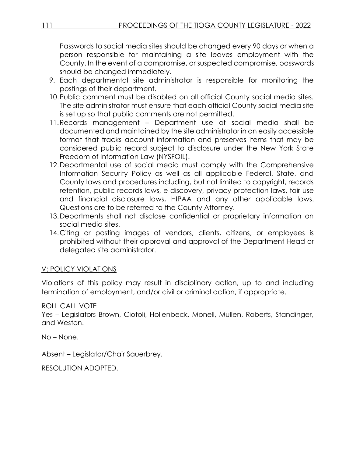Passwords to social media sites should be changed every 90 days or when a person responsible for maintaining a site leaves employment with the County. In the event of a compromise, or suspected compromise, passwords should be changed immediately.

- 9. Each departmental site administrator is responsible for monitoring the postings of their department.
- 10.Public comment must be disabled on all official County social media sites. The site administrator must ensure that each official County social media site is set up so that public comments are not permitted.
- 11.Records management Department use of social media shall be documented and maintained by the site administrator in an easily accessible format that tracks account information and preserves items that may be considered public record subject to disclosure under the New York State Freedom of Information Law (NYSFOIL).
- 12.Departmental use of social media must comply with the Comprehensive Information Security Policy as well as all applicable Federal, State, and County laws and procedures including, but not limited to copyright, records retention, public records laws, e-discovery, privacy protection laws, fair use and financial disclosure laws, HIPAA and any other applicable laws. Questions are to be referred to the County Attorney.
- 13.Departments shall not disclose confidential or proprietary information on social media sites.
- 14. Citing or posting images of vendors, clients, citizens, or employees is prohibited without their approval and approval of the Department Head or delegated site administrator.

# V: POLICY VIOLATIONS

Violations of this policy may result in disciplinary action, up to and including termination of employment, and/or civil or criminal action, if appropriate.

# ROLL CALL VOTE

Yes – Legislators Brown, Ciotoli, Hollenbeck, Monell, Mullen, Roberts, Standinger, and Weston.

No – None.

Absent – Legislator/Chair Sauerbrey.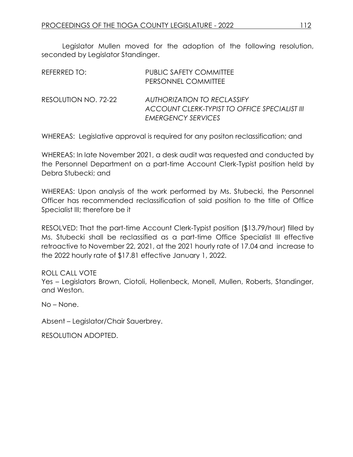Legislator Mullen moved for the adoption of the following resolution, seconded by Legislator Standinger.

| REFERRED TO:         | <b>PUBLIC SAFETY COMMITTEE</b><br>PERSONNEL COMMITTEE                                                            |
|----------------------|------------------------------------------------------------------------------------------------------------------|
| RESOLUTION NO. 72-22 | <b>AUTHORIZATION TO RECLASSIFY</b><br>ACCOUNT CLERK-TYPIST TO OFFICE SPECIALIST III<br><b>EMERGENCY SERVICES</b> |

WHEREAS: Legislative approval is required for any positon reclassification; and

WHEREAS: In late November 2021, a desk audit was requested and conducted by the Personnel Department on a part-time Account Clerk-Typist position held by Debra Stubecki; and

WHEREAS: Upon analysis of the work performed by Ms. Stubecki, the Personnel Officer has recommended reclassification of said position to the title of Office Specialist III; therefore be it

RESOLVED: That the part-time Account Clerk-Typist position (\$13.79/hour) filled by Ms. Stubecki shall be reclassified as a part-time Office Specialist III effective retroactive to November 22, 2021, at the 2021 hourly rate of 17.04 and increase to the 2022 hourly rate of \$17.81 effective January 1, 2022.

## ROLL CALL VOTE

Yes – Legislators Brown, Ciotoli, Hollenbeck, Monell, Mullen, Roberts, Standinger, and Weston.

No – None.

Absent – Legislator/Chair Sauerbrey.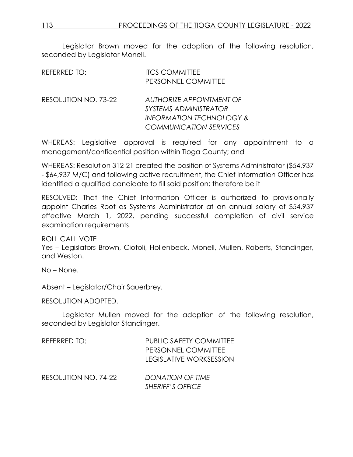Legislator Brown moved for the adoption of the following resolution, seconded by Legislator Monell.

| REFERRED TO:         | <b>ITCS COMMITTEE</b><br>PERSONNEL COMMITTEE                                                                                            |
|----------------------|-----------------------------------------------------------------------------------------------------------------------------------------|
| RESOLUTION NO. 73-22 | <b>AUTHORIZE APPOINTMENT OF</b><br><i>SYSTEMS ADMINISTRATOR</i><br><b>INFORMATION TECHNOLOGY &amp;</b><br><b>COMMUNICATION SERVICES</b> |

WHEREAS: Legislative approval is required for any appointment to a management/confidential position within Tioga County; and

WHEREAS: Resolution 312-21 created the position of Systems Administrator (\$54,937 - \$64,937 M/C) and following active recruitment, the Chief Information Officer has identified a qualified candidate to fill said position; therefore be it

RESOLVED: That the Chief Information Officer is authorized to provisionally appoint Charles Root as Systems Administrator at an annual salary of \$54,937 effective March 1, 2022, pending successful completion of civil service examination requirements.

ROLL CALL VOTE

Yes – Legislators Brown, Ciotoli, Hollenbeck, Monell, Mullen, Roberts, Standinger, and Weston.

No – None.

Absent – Legislator/Chair Sauerbrey.

RESOLUTION ADOPTED.

Legislator Mullen moved for the adoption of the following resolution, seconded by Legislator Standinger.

| REFERRED TO:         | <b>PUBLIC SAFETY COMMITTEE</b> |  |  |
|----------------------|--------------------------------|--|--|
|                      | PERSONNEL COMMITTEE            |  |  |
|                      | <b>LEGISLATIVE WORKSESSION</b> |  |  |
| RESOLUTION NO. 74-22 | <b>DONATION OF TIME</b>        |  |  |

*SHERIFF'S OFFICE*